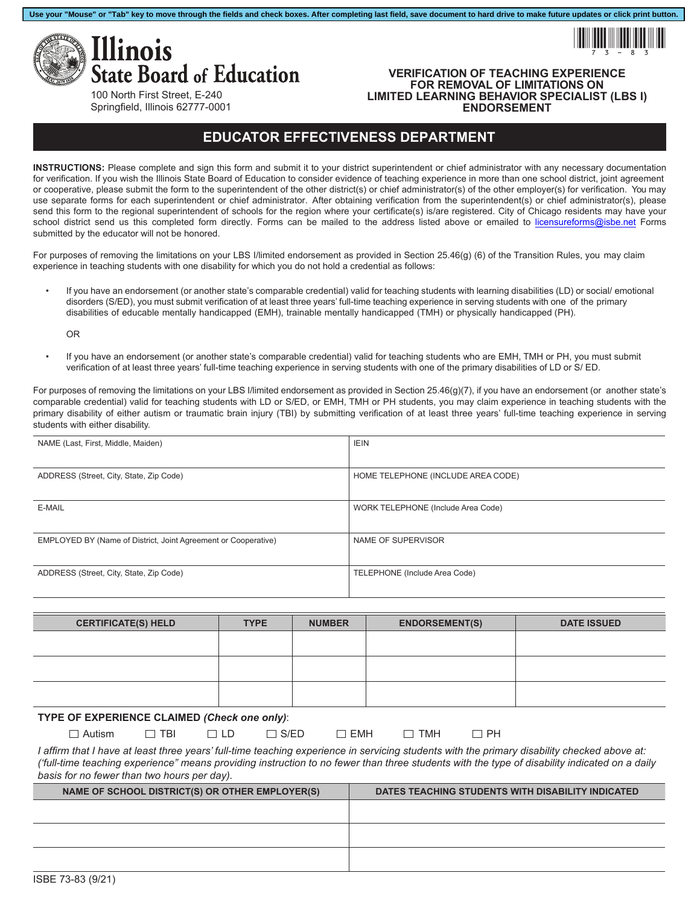



## **VERIFICATION OF TEACHING EXPERIENCE FOR REMOVAL OF LIMITATIONS ON LIMITED LEARNING BEHAVIOR SPECIALIST (LBS I) ENDORSEMENT**

100 North First Street, E-240 Springfield, Illinois 62777-0001

## **EDUCATOR EFFECTIVENESS DEPARTMENT**

**Use your "Mouse" or "Tab" key to move through the fields and check boxes. After completing last field, save document to hard drive to make future updates or click print button.**

**INSTRUCTIONS:** Please complete and sign this form and submit it to your district superintendent or chief administrator with any necessary documentation for verification. If you wish the Illinois State Board of Education to consider evidence of teaching experience in more than one school district, joint agreement or cooperative, please submit the form to the superintendent of the other district(s) or chief administrator(s) of the other employer(s) for verification. You may use separate forms for each superintendent or chief administrator. After obtaining verification from the superintendent(s) or chief administrator(s), please send this form to the regional superintendent of schools for the region where your certificate(s) is/are registered. City of Chicago residents may have your school district send us this completed form directly. Forms can be mailed to the address listed above or emailed to [licensureforms@isbe.net](mailto:licensureforms@isbe.net) Forms submitted by the educator will not be honored.

For purposes of removing the limitations on your LBS I/limited endorsement as provided in Section 25.46(g) (6) of the Transition Rules, you may claim experience in teaching students with one disability for which you do not hold a credential as follows:

• If you have an endorsement (or another state's comparable credential) valid for teaching students with learning disabilities (LD) or social/ emotional disorders (S/ED), you must submit verification of at least three years' full-time teaching experience in serving students with one of the primary disabilities of educable mentally handicapped (EMH), trainable mentally handicapped (TMH) or physically handicapped (PH).

OR

• If you have an endorsement (or another state's comparable credential) valid for teaching students who are EMH, TMH or PH, you must submit verification of at least three years' full-time teaching experience in serving students with one of the primary disabilities of LD or S/ ED.

For purposes of removing the limitations on your LBS I/limited endorsement as provided in Section 25.46(g)(7), if you have an endorsement (or another state's comparable credential) valid for teaching students with LD or S/ED, or EMH, TMH or PH students, you may claim experience in teaching students with the primary disability of either autism or traumatic brain injury (TBI) by submitting verification of at least three years' full-time teaching experience in serving students with either disability.

| NAME (Last, First, Middle, Maiden)                             | <b>IEIN</b>                        |
|----------------------------------------------------------------|------------------------------------|
|                                                                |                                    |
| ADDRESS (Street, City, State, Zip Code)                        | HOME TELEPHONE (INCLUDE AREA CODE) |
|                                                                |                                    |
| E-MAIL                                                         | WORK TELEPHONE (Include Area Code) |
|                                                                |                                    |
| EMPLOYED BY (Name of District, Joint Agreement or Cooperative) | NAME OF SUPERVISOR                 |
|                                                                |                                    |
| ADDRESS (Street, City, State, Zip Code)                        | TELEPHONE (Include Area Code)      |
|                                                                |                                    |

| <b>CERTIFICATE(S) HELD</b>                   | <b>TYPE</b> | <b>NUMBER</b> | <b>ENDORSEMENT(S)</b> | <b>DATE ISSUED</b> |  |  |
|----------------------------------------------|-------------|---------------|-----------------------|--------------------|--|--|
|                                              |             |               |                       |                    |  |  |
|                                              |             |               |                       |                    |  |  |
|                                              |             |               |                       |                    |  |  |
|                                              |             |               |                       |                    |  |  |
| TYPE OF EXPERIENCE CLAIMED (Check one only): |             |               |                       |                    |  |  |

Autism □ TBI □ LD □ S/ED □ EMH □ TMH □ PH *I affirm that I have at least three years' full-time teaching experience in servicing students with the primary disability checked above at: ('full-time teaching experience" means providing instruction to no fewer than three students with the type of disability indicated on a daily* 

*basis for no fewer than two hours per day).*

| DATES TEACHING STUDENTS WITH DISABILITY INDICATED |  |  |
|---------------------------------------------------|--|--|
|                                                   |  |  |
|                                                   |  |  |
|                                                   |  |  |
|                                                   |  |  |
|                                                   |  |  |